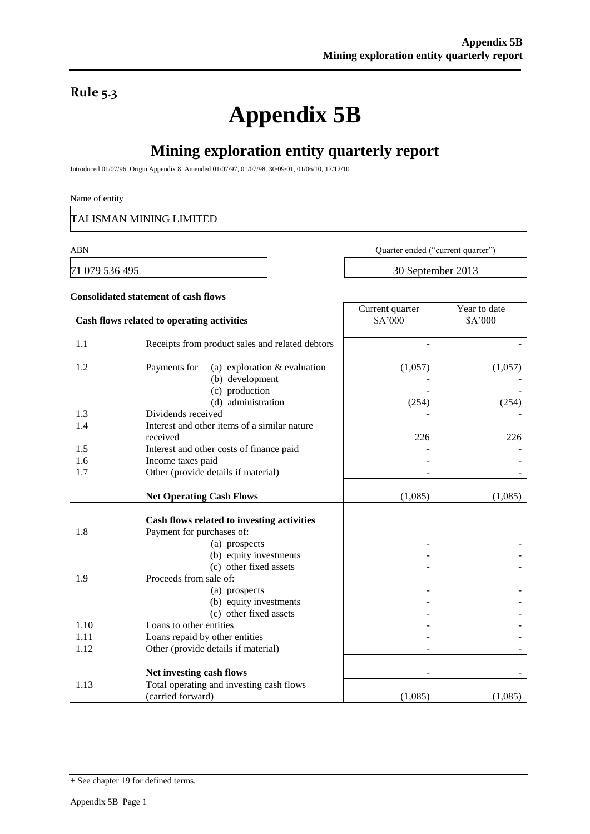### **Rule 5.3**

# **Appendix 5B**

### **Mining exploration entity quarterly report**

Introduced 01/07/96 Origin Appendix 8 Amended 01/07/97, 01/07/98, 30/09/01, 01/06/10, 17/12/10

#### Name of entity

TALISMAN MINING LIMITED

ABN Quarter ended ("current quarter")

Year to date

71 079 536 495 30 September 2013

Current quarter

## **Consolidated statement of cash flows**

| Cash flows related to operating activities |                                                                         | \$A'000 | \$A'000 |
|--------------------------------------------|-------------------------------------------------------------------------|---------|---------|
| 1.1                                        | Receipts from product sales and related debtors                         |         |         |
| 1.2                                        | Payments for<br>(a) exploration $&$ evaluation<br>(b) development       | (1,057) | (1,057) |
|                                            | (c) production<br>(d) administration                                    | (254)   | (254)   |
| 1.3                                        | Dividends received                                                      |         |         |
| 1.4                                        | Interest and other items of a similar nature                            |         |         |
|                                            | received                                                                | 226     | 226     |
| 1.5                                        | Interest and other costs of finance paid                                |         |         |
| 1.6                                        | Income taxes paid                                                       |         |         |
| 1.7                                        | Other (provide details if material)                                     |         |         |
|                                            |                                                                         |         |         |
|                                            | <b>Net Operating Cash Flows</b>                                         | (1,085) | (1,085) |
| 1.8                                        | Cash flows related to investing activities<br>Payment for purchases of: |         |         |
|                                            | (a) prospects                                                           |         |         |
|                                            | (b) equity investments                                                  |         |         |
|                                            | (c) other fixed assets                                                  |         |         |
| 1.9                                        | Proceeds from sale of:                                                  |         |         |
|                                            | (a) prospects                                                           |         |         |
|                                            | (b) equity investments                                                  |         |         |
|                                            | (c) other fixed assets                                                  |         |         |
| 1.10                                       | Loans to other entities                                                 |         |         |
| 1.11                                       | Loans repaid by other entities                                          |         |         |
| 1.12                                       | Other (provide details if material)                                     |         |         |
|                                            | Net investing cash flows                                                |         |         |
| 1.13                                       | Total operating and investing cash flows                                |         |         |
|                                            | (carried forward)                                                       | (1,085) | (1,085) |

<sup>+</sup> See chapter 19 for defined terms.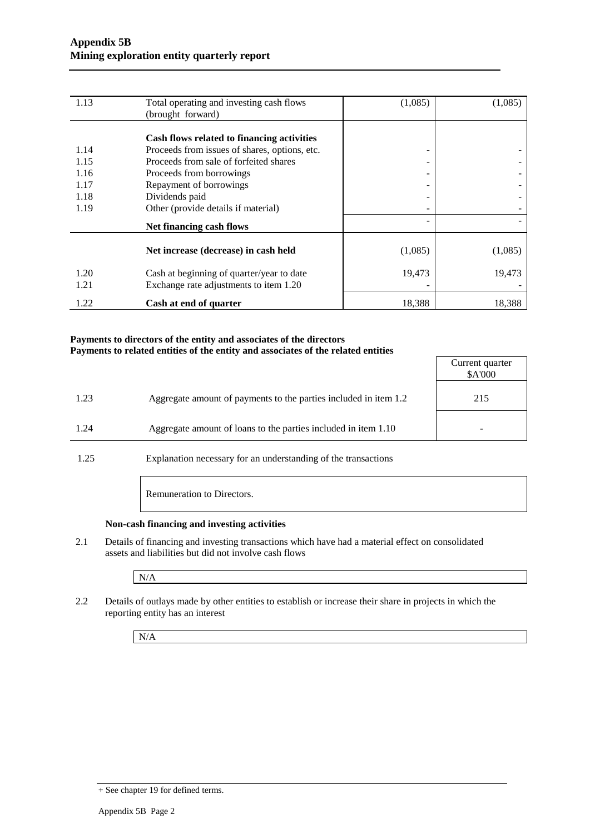| 1.13 | Total operating and investing cash flows      | (1,085)                  | (1,085) |
|------|-----------------------------------------------|--------------------------|---------|
|      | (brought forward)                             |                          |         |
|      |                                               |                          |         |
|      | Cash flows related to financing activities    |                          |         |
| 1.14 | Proceeds from issues of shares, options, etc. | -                        |         |
| 1.15 | Proceeds from sale of forfeited shares        | -                        |         |
| 1.16 | Proceeds from borrowings                      | -                        |         |
| 1.17 | Repayment of borrowings                       | -                        |         |
| 1.18 | Dividends paid                                | $\overline{\phantom{a}}$ |         |
| 1.19 | Other (provide details if material)           |                          |         |
|      | <b>Net financing cash flows</b>               |                          |         |
|      |                                               |                          |         |
|      | Net increase (decrease) in cash held          | (1,085)                  | (1,085) |
| 1.20 | Cash at beginning of quarter/year to date     | 19,473                   | 19,473  |
| 1.21 | Exchange rate adjustments to item 1.20        |                          |         |
|      |                                               |                          |         |
| 1.22 | Cash at end of quarter                        | 18,388                   | 18,388  |

#### **Payments to directors of the entity and associates of the directors Payments to related entities of the entity and associates of the related entities**

|      |                                                                  | Current quarter<br>\$A'000 |
|------|------------------------------------------------------------------|----------------------------|
| 1.23 | Aggregate amount of payments to the parties included in item 1.2 | 215                        |
| 1.24 | Aggregate amount of loans to the parties included in item 1.10   |                            |
|      |                                                                  |                            |

1.25 Explanation necessary for an understanding of the transactions

Remuneration to Directors.

#### **Non-cash financing and investing activities**

2.1 Details of financing and investing transactions which have had a material effect on consolidated assets and liabilities but did not involve cash flows

N/A

2.2 Details of outlays made by other entities to establish or increase their share in projects in which the reporting entity has an interest

N/A

<sup>+</sup> See chapter 19 for defined terms.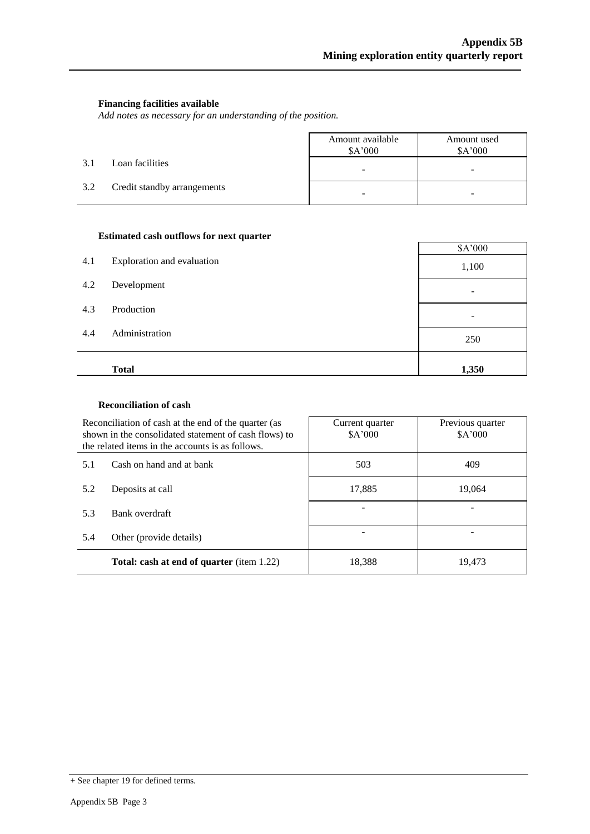#### **Financing facilities available**

*Add notes as necessary for an understanding of the position.*

|     |                             | Amount available<br>\$A'000 | Amount used<br>\$A'000 |
|-----|-----------------------------|-----------------------------|------------------------|
| 3.1 | Loan facilities             | -                           | -                      |
| 3.2 | Credit standby arrangements | -                           |                        |

#### **Estimated cash outflows for next quarter**

| 4.1 | Exploration and evaluation | \$A'000<br>1,100 |
|-----|----------------------------|------------------|
| 4.2 | Development                |                  |
| 4.3 | Production                 |                  |
| 4.4 | Administration             | 250              |
|     | <b>Total</b>               | 1,350            |

#### **Reconciliation of cash**

|                                                                                     | Reconciliation of cash at the end of the quarter (as<br>shown in the consolidated statement of cash flows) to<br>the related items in the accounts is as follows. | Current quarter<br>\$A'000 | Previous quarter<br>\$A'000 |  |
|-------------------------------------------------------------------------------------|-------------------------------------------------------------------------------------------------------------------------------------------------------------------|----------------------------|-----------------------------|--|
| Cash on hand and at bank<br>5.1<br>Deposits at call<br>5.2<br>Bank overdraft<br>5.3 |                                                                                                                                                                   | 503                        | 409                         |  |
|                                                                                     |                                                                                                                                                                   | 17,885                     | 19,064                      |  |
|                                                                                     |                                                                                                                                                                   |                            |                             |  |
| 5.4                                                                                 | Other (provide details)                                                                                                                                           |                            |                             |  |
| <b>Total: cash at end of quarter</b> (item 1.22)                                    |                                                                                                                                                                   | 18,388                     | 19,473                      |  |

<sup>+</sup> See chapter 19 for defined terms.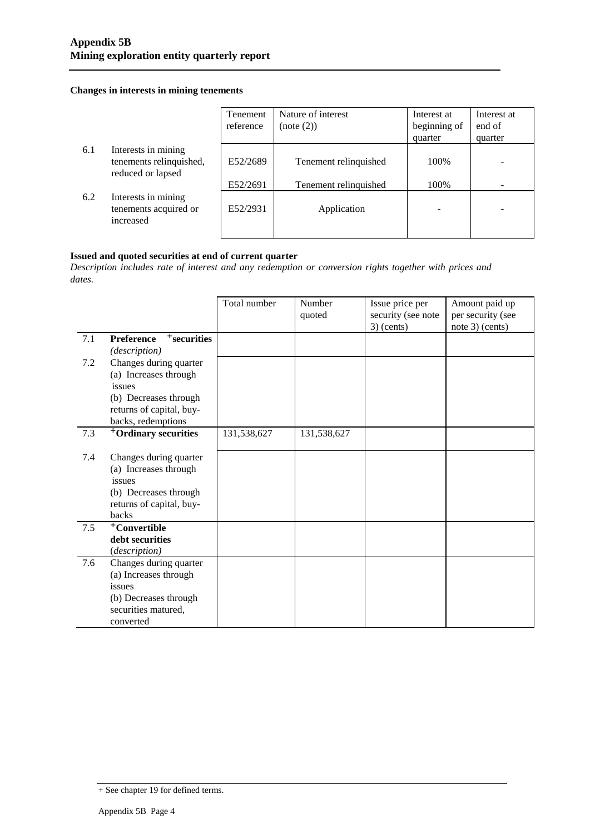#### **Changes in interests in mining tenements**

|     |                                                                     | Tenement  | Nature of interest    | Interest at  | Interest at |
|-----|---------------------------------------------------------------------|-----------|-----------------------|--------------|-------------|
|     |                                                                     | reference | (note (2))            | beginning of | end of      |
|     |                                                                     |           |                       | quarter      | quarter     |
| 6.1 | Interests in mining<br>tenements relinquished,<br>reduced or lapsed | E52/2689  | Tenement relinquished | 100%         |             |
|     |                                                                     | E52/2691  | Tenement relinguished | 100%         |             |
| 6.2 | Interests in mining<br>tenements acquired or<br>increased           | E52/2931  | Application           |              |             |

#### **Issued and quoted securities at end of current quarter**

*Description includes rate of interest and any redemption or conversion rights together with prices and dates.*

|     |                                     | Total number | Number<br>quoted | Issue price per<br>security (see note<br>$3)$ (cents) | Amount paid up<br>per security (see<br>note 3) (cents) |
|-----|-------------------------------------|--------------|------------------|-------------------------------------------------------|--------------------------------------------------------|
| 7.1 | <b>Preference</b><br>$+$ securities |              |                  |                                                       |                                                        |
|     | (description)                       |              |                  |                                                       |                                                        |
| 7.2 | Changes during quarter              |              |                  |                                                       |                                                        |
|     | (a) Increases through               |              |                  |                                                       |                                                        |
|     | issues                              |              |                  |                                                       |                                                        |
|     | (b) Decreases through               |              |                  |                                                       |                                                        |
|     | returns of capital, buy-            |              |                  |                                                       |                                                        |
|     | backs, redemptions                  |              |                  |                                                       |                                                        |
| 7.3 | <sup>+</sup> Ordinary securities    | 131,538,627  | 131,538,627      |                                                       |                                                        |
|     |                                     |              |                  |                                                       |                                                        |
| 7.4 | Changes during quarter              |              |                  |                                                       |                                                        |
|     | (a) Increases through               |              |                  |                                                       |                                                        |
|     | issues                              |              |                  |                                                       |                                                        |
|     | (b) Decreases through               |              |                  |                                                       |                                                        |
|     | returns of capital, buy-            |              |                  |                                                       |                                                        |
|     | backs                               |              |                  |                                                       |                                                        |
| 7.5 | <sup>+</sup> Convertible            |              |                  |                                                       |                                                        |
|     | debt securities                     |              |                  |                                                       |                                                        |
|     | (description)                       |              |                  |                                                       |                                                        |
| 7.6 | Changes during quarter              |              |                  |                                                       |                                                        |
|     | (a) Increases through               |              |                  |                                                       |                                                        |
|     | issues                              |              |                  |                                                       |                                                        |
|     | (b) Decreases through               |              |                  |                                                       |                                                        |
|     | securities matured,                 |              |                  |                                                       |                                                        |
|     | converted                           |              |                  |                                                       |                                                        |

<sup>+</sup> See chapter 19 for defined terms.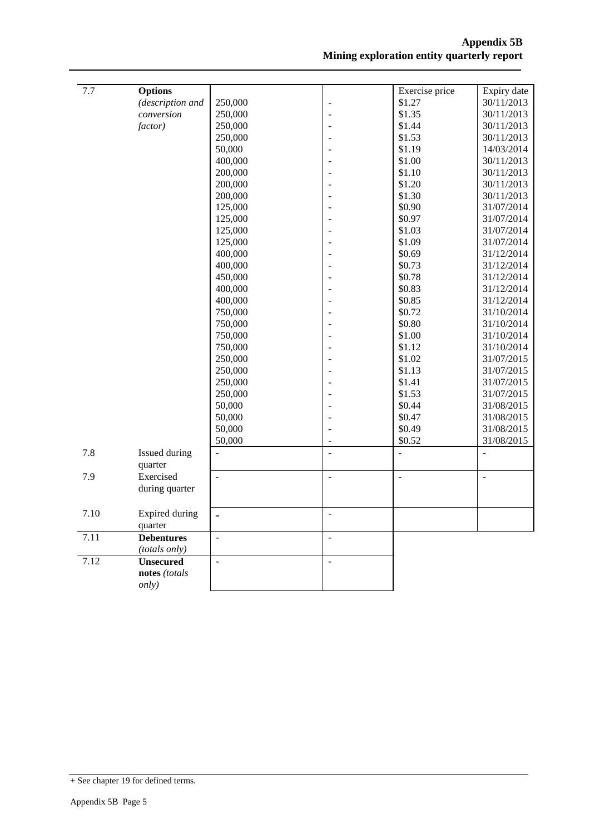| 7.7  | <b>Options</b>                    |                |                          | Exercise price           | Expiry date              |
|------|-----------------------------------|----------------|--------------------------|--------------------------|--------------------------|
|      | (description and                  | 250,000        |                          | \$1.27                   | 30/11/2013               |
|      | conversion                        | 250,000        | ÷,                       | \$1.35                   | 30/11/2013               |
|      | factor)                           | 250,000        |                          | \$1.44                   | 30/11/2013               |
|      |                                   | 250,000        |                          | \$1.53                   | 30/11/2013               |
|      |                                   | 50,000         |                          | \$1.19                   | 14/03/2014               |
|      |                                   | 400,000        |                          | \$1.00                   | 30/11/2013               |
|      |                                   | 200,000        |                          | \$1.10                   | 30/11/2013               |
|      |                                   | 200,000        |                          | \$1.20                   | 30/11/2013               |
|      |                                   | 200,000        |                          | \$1.30                   | 30/11/2013               |
|      |                                   | 125,000        |                          | \$0.90                   | 31/07/2014               |
|      |                                   | 125,000        |                          | \$0.97                   | 31/07/2014               |
|      |                                   | 125,000        |                          | \$1.03                   | 31/07/2014               |
|      |                                   | 125,000        |                          | \$1.09                   | 31/07/2014               |
|      |                                   | 400,000        |                          | \$0.69                   | 31/12/2014               |
|      |                                   | 400,000        |                          | \$0.73                   | 31/12/2014               |
|      |                                   | 450,000        |                          | \$0.78                   | 31/12/2014               |
|      |                                   | 400,000        |                          | \$0.83                   | 31/12/2014               |
|      |                                   | 400,000        |                          | \$0.85                   | 31/12/2014               |
|      |                                   | 750,000        |                          | \$0.72                   | 31/10/2014               |
|      |                                   | 750,000        |                          | \$0.80                   | 31/10/2014               |
|      |                                   | 750,000        |                          | \$1.00                   | 31/10/2014               |
|      |                                   | 750,000        |                          | \$1.12                   | 31/10/2014               |
|      |                                   | 250,000        |                          | \$1.02                   | 31/07/2015               |
|      |                                   | 250,000        |                          | \$1.13                   | 31/07/2015               |
|      |                                   | 250,000        |                          | \$1.41                   | 31/07/2015               |
|      |                                   | 250,000        |                          | \$1.53                   | 31/07/2015               |
|      |                                   | 50,000         |                          | \$0.44                   | 31/08/2015               |
|      |                                   | 50,000         |                          | \$0.47                   | 31/08/2015               |
|      |                                   | 50,000         | $\overline{a}$           | \$0.49                   | 31/08/2015               |
|      |                                   | 50,000         |                          | \$0.52                   | 31/08/2015               |
| 7.8  | Issued during<br>quarter          | $\overline{a}$ | $\overline{a}$           | $\overline{a}$           | $\overline{a}$           |
| 7.9  | Exercised                         | $\Box$         | $\overline{\phantom{a}}$ | $\overline{\phantom{a}}$ | $\overline{\phantom{a}}$ |
|      | during quarter                    |                |                          |                          |                          |
|      |                                   |                |                          |                          |                          |
| 7.10 | <b>Expired during</b><br>quarter  | $\overline{a}$ | $\mathbb{Z}$             |                          |                          |
| 7.11 | <b>Debentures</b>                 | $\overline{a}$ | $\overline{a}$           |                          |                          |
|      | (totals only)                     |                |                          |                          |                          |
| 7.12 | <b>Unsecured</b><br>notes (totals | $\overline{a}$ | $\overline{a}$           |                          |                          |
|      | only)                             |                |                          |                          |                          |

<sup>+</sup> See chapter 19 for defined terms.